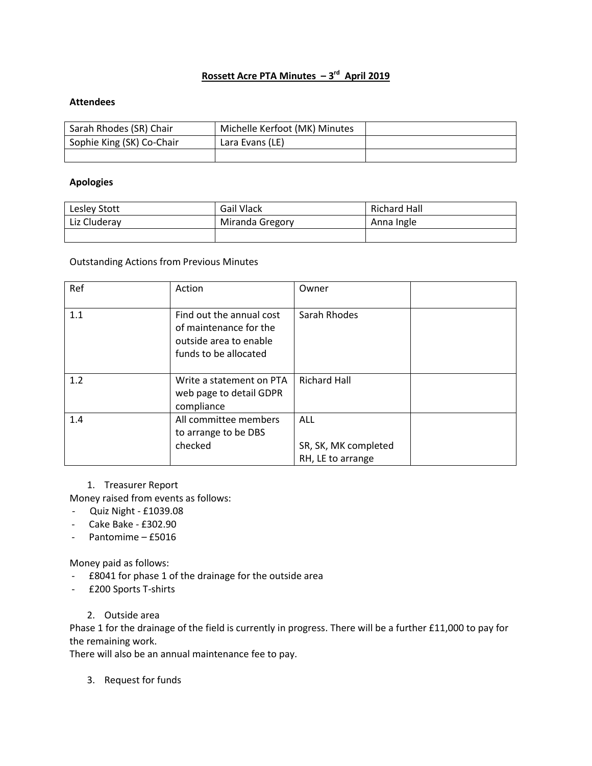## **Rossett Acre PTA Minutes – 3 rd April 2019**

## **Attendees**

| Sarah Rhodes (SR) Chair   | Michelle Kerfoot (MK) Minutes |  |
|---------------------------|-------------------------------|--|
| Sophie King (SK) Co-Chair | Lara Evans (LE)               |  |
|                           |                               |  |

### **Apologies**

| Lesley Stott | <b>Gail Vlack</b> | <b>Richard Hall</b> |
|--------------|-------------------|---------------------|
| Liz Cluderay | Miranda Gregory   | Anna Ingle          |
|              |                   |                     |

#### Outstanding Actions from Previous Minutes

| Ref | Action                                                                                                | Owner                                                   |  |
|-----|-------------------------------------------------------------------------------------------------------|---------------------------------------------------------|--|
| 1.1 | Find out the annual cost<br>of maintenance for the<br>outside area to enable<br>funds to be allocated | Sarah Rhodes                                            |  |
| 1.2 | Write a statement on PTA<br>web page to detail GDPR<br>compliance                                     | <b>Richard Hall</b>                                     |  |
| 1.4 | All committee members<br>to arrange to be DBS<br>checked                                              | <b>ALL</b><br>SR, SK, MK completed<br>RH, LE to arrange |  |

## 1. Treasurer Report

Money raised from events as follows:

- Quiz Night £1039.08
- Cake Bake £302.90
- Pantomime £5016

Money paid as follows:

- £8041 for phase 1 of the drainage for the outside area
- £200 Sports T-shirts
	- 2. Outside area

Phase 1 for the drainage of the field is currently in progress. There will be a further £11,000 to pay for the remaining work.

There will also be an annual maintenance fee to pay.

3. Request for funds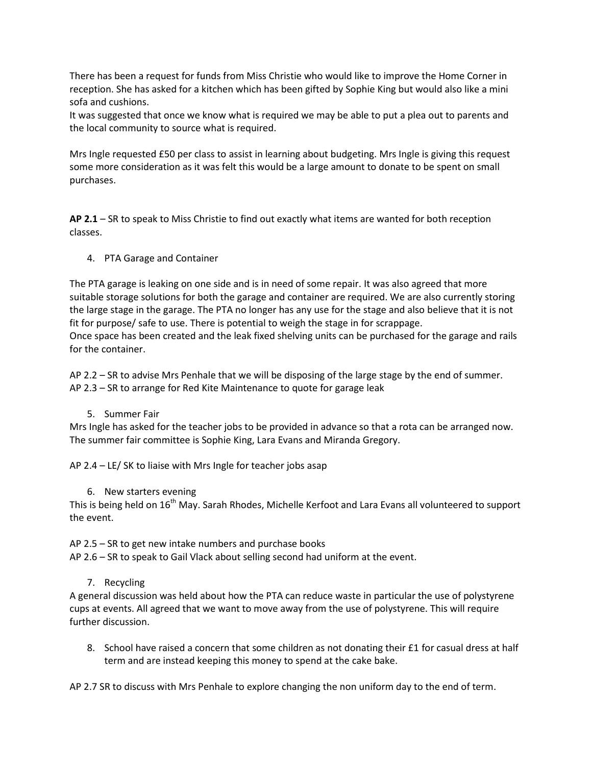There has been a request for funds from Miss Christie who would like to improve the Home Corner in reception. She has asked for a kitchen which has been gifted by Sophie King but would also like a mini sofa and cushions.

It was suggested that once we know what is required we may be able to put a plea out to parents and the local community to source what is required.

Mrs Ingle requested £50 per class to assist in learning about budgeting. Mrs Ingle is giving this request some more consideration as it was felt this would be a large amount to donate to be spent on small purchases.

**AP 2.1** – SR to speak to Miss Christie to find out exactly what items are wanted for both reception classes.

4. PTA Garage and Container

The PTA garage is leaking on one side and is in need of some repair. It was also agreed that more suitable storage solutions for both the garage and container are required. We are also currently storing the large stage in the garage. The PTA no longer has any use for the stage and also believe that it is not fit for purpose/ safe to use. There is potential to weigh the stage in for scrappage. Once space has been created and the leak fixed shelving units can be purchased for the garage and rails for the container.

AP 2.2 – SR to advise Mrs Penhale that we will be disposing of the large stage by the end of summer. AP 2.3 – SR to arrange for Red Kite Maintenance to quote for garage leak

5. Summer Fair

Mrs Ingle has asked for the teacher jobs to be provided in advance so that a rota can be arranged now. The summer fair committee is Sophie King, Lara Evans and Miranda Gregory.

AP 2.4 – LE/ SK to liaise with Mrs Ingle for teacher jobs asap

6. New starters evening

This is being held on 16<sup>th</sup> May. Sarah Rhodes, Michelle Kerfoot and Lara Evans all volunteered to support the event.

AP 2.5 – SR to get new intake numbers and purchase books

AP 2.6 – SR to speak to Gail Vlack about selling second had uniform at the event.

7. Recycling

A general discussion was held about how the PTA can reduce waste in particular the use of polystyrene cups at events. All agreed that we want to move away from the use of polystyrene. This will require further discussion.

8. School have raised a concern that some children as not donating their £1 for casual dress at half term and are instead keeping this money to spend at the cake bake.

AP 2.7 SR to discuss with Mrs Penhale to explore changing the non uniform day to the end of term.